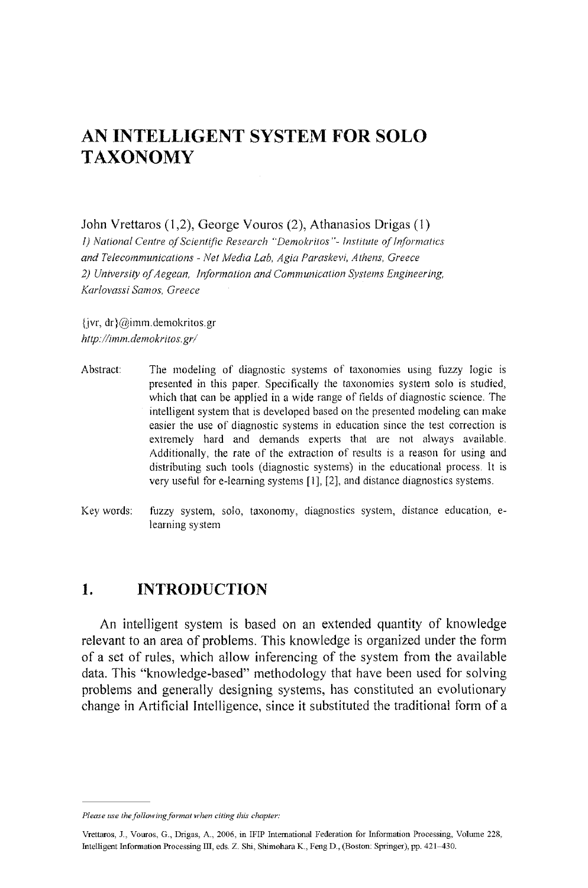# AN INTELLIGENT SYSTEM FOR SOLO TAXONOMY

John Vrettaros (1,2), George Vouros (2), Athanasios Drigas (1)

*1) National Centre of Scientific Research "Demokritos"- Institute of Informatics and Telecommunications - Net Media Lab, Agio Paraskevi, Athens, Greece 2) University of Aegean, Information and Communication Systems Engineering, Karlovassi Samos, Greece* 

{jvr, dr}@imm.demokritos.gr *http://imm. demokritos. gr/* 

- Abstract: The modeling of diagnostic systems of taxonomies using fuzzy logic is presented in this paper. Specifically the taxonomies system solo is studied, which that can be applied in a wide range of fields of diagnostic science. The intelligent system that is developed based on the presented modeling can make easier the use of diagnostic systems in education since the test correction is extremely hard and demands experts that are not always available. Addifionally, the rate of the extraction of results is a reason for using and distributing such tools (diagnostic systems) in the educational process. It is very useful for e-leaming systems [1], [2], and distance diagnostics systems.
- Key words: fuzzy system, solo, taxonomy, diagnostics system, distance education, elearning system

## 1. INTRODUCTION

An intelligent system is based on an extended quantity of knowledge relevant to an area of problems. This knowledge is organized under the form of a set of rules, which allow inferencing of the system from the available data. This "knowledge-based" methodology that have been used for solving problems and generally designing systems, has constituted an evolutionary change in Artificial Intelligence, since it substituted the traditional form of a

*Please use the foUowing format when citing this chapter:* 

Vrettaros, J., Vouros, G., Drigas, A., 2006, in IFIP International Federation for Information Processing, Volume 228, Intelligent Information Processing IE, eds. Z. Shi, Shimohara K., Feng D., (Boston: Springer), pp. 421-430.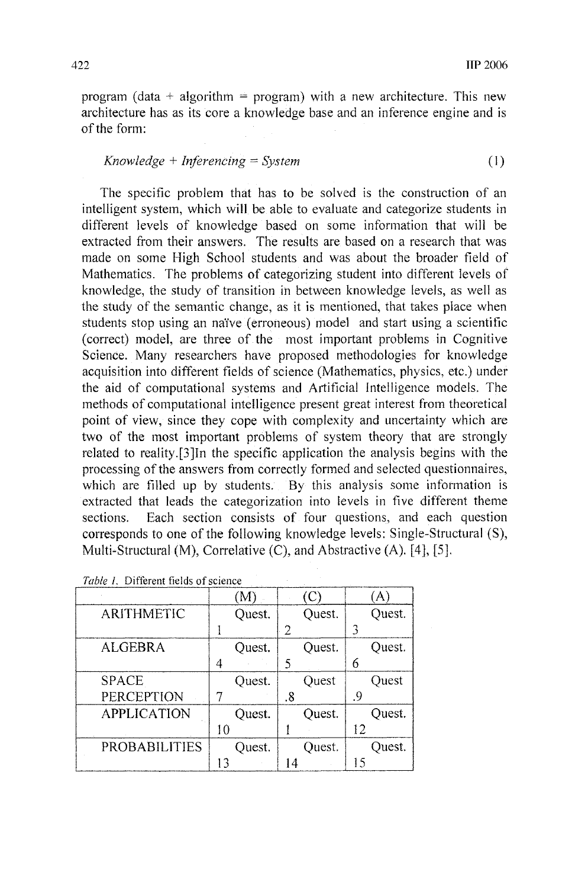program (data + algorithm = program) with a new architecture. This new architecture has as its core a knowledge base and an inference engine and is of the form:

*Knowledge + Inferencing* = *System* **(1)** 

The specific problem that has to be solved is the construction of an intelligent system, which will be able to evaluate and categorize students in different levels of knowledge based on some information that will be extracted from their answers. The results are based on a research that was made on some High School students and was about the broader field of Mathematics. The problems of categorizing student into different levels of knowledge, the study of transition in between knowledge levels, as well as the study of the semantic change, as it is mentioned, that takes place when students stop using an nai've (erroneous) model and start using a scientific (correct) model, are three of the most important problems in Cognitive Science. Many researchers have proposed methodologies for knowledge acquisition into different fields of science (Mathematics, physics, etc.) under the aid of computational systems and Artificial Intelligence models. The methods of computational intelligence present great interest from theoretical point of view, since they cope with complexity and uncertainty which are two of the most important problems of system theory that are strongly related to reality.[3]In the specific application the analysis begins with the processing of the answers from correctly formed and selected questionnaires, which are filled up by students. By this analysis some information is extracted that leads the categorization into levels in five different theme sections. Each section consists of four questions, and each question corresponds to one of the following knowledge levels: Single-Structural (S), Multi-Structural (M), Correlative (C), and Abstractive (A). [4], [5].

|                      | M)     | €      |        |
|----------------------|--------|--------|--------|
| <b>ARITHMETIC</b>    | Quest. | Quest. | Quest. |
|                      |        | 2      |        |
| ALGEBRA              | Quest. | Quest. | Quest. |
|                      | 4      | 5      | 6      |
| <b>SPACE</b>         | Quest. | Quest  | Quest  |
| PERCEPTION           |        | .8     | .9     |
| <b>APPLICATION</b>   | Quest. | Quest. | Quest. |
|                      | 10     |        | 12     |
| <b>PROBABILITIES</b> | Quest. | Quest. | Quest. |
|                      | 13     | 14     |        |

|  | <i>Table 1.</i> Different fields of science |  |  |
|--|---------------------------------------------|--|--|
|  |                                             |  |  |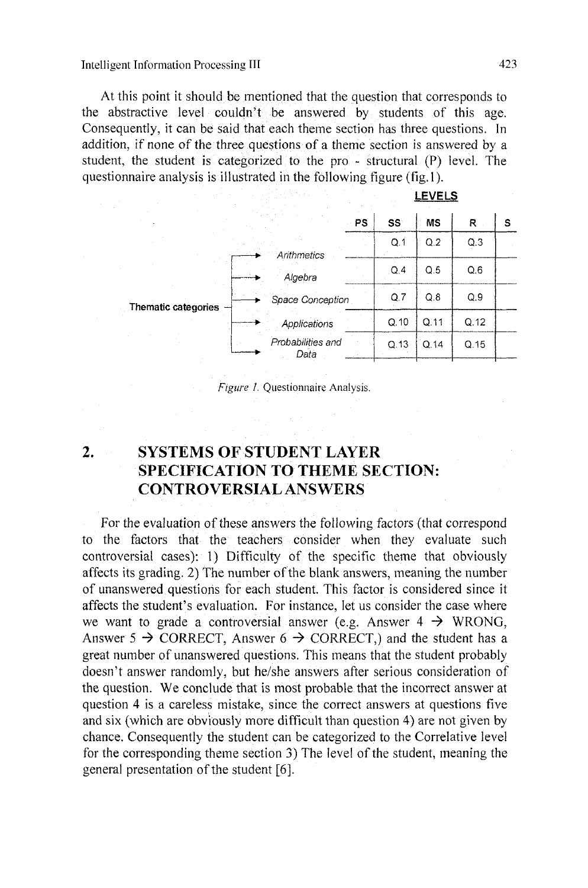At this point it should be mentioned that the question that corresponds to the abstractive level couldn't be answered by students of this age. Consequently, it can be said that each theme section has three questions. In addition, if none of the three questions of a theme section is answered by a student, the student is categorized to the pro - structural (P) level. The questionnaire analysis is illustrated in the following figure (fig. 1).

|                            |                           |      |      | <u>______</u> |      |   |
|----------------------------|---------------------------|------|------|---------------|------|---|
|                            |                           | - PS | SS   | <b>MS</b>     | R    | s |
|                            | Arithmetics               |      | Q.1  | Q.2           | Q.3  |   |
|                            | Algebra                   |      | Q, 4 | Q.5           | Q.6  |   |
| <b>Thematic categories</b> | Space Conception          |      | Q.7  | Q.8           | Q.9  |   |
|                            | Applications              |      | Q.10 | Q.11          | Q.12 |   |
|                            | Probabilities and<br>Data |      | Q.13 | Q.14          | Q.15 |   |

*Figure I.* Questionnaire Analysis.

#### $2.$ SYSTEMS OF STUDENT LAYER SPECIFICATION TO THEME SECTION: CONTROVERSIAL ANSWERS

For the evaluation of these answers the following factors (that correspond to the factors that the teachers consider when they evaluate such controversial cases): 1) Difficulty of the specific theme that obviously affects its grading. 2) The number of the blank answers, meaning the number of unanswered questions for each student. This factor is considered since it affects the student's evaluation. For instance, let us consider the case where we want to grade a controversial answer (e.g. Answer  $4 \rightarrow WRONG$ , Answer 5  $\rightarrow$  CORRECT, Answer 6  $\rightarrow$  CORRECT,) and the student has a great number of unanswered questions. This means that the student probably doesn't answer randomly, but he/she answers after serious consideration of the question. We conclude that is most probable that the incorrect answer at question 4 is a careless mistake, since the correct answers at questions five and six (which are obviously more difficult than question 4) are not given by chance. Consequently the student can be categorized to the Correlative level for the corresponding theme section 3) The level of the student, meaning the general presentation of the student [6].

LEVELS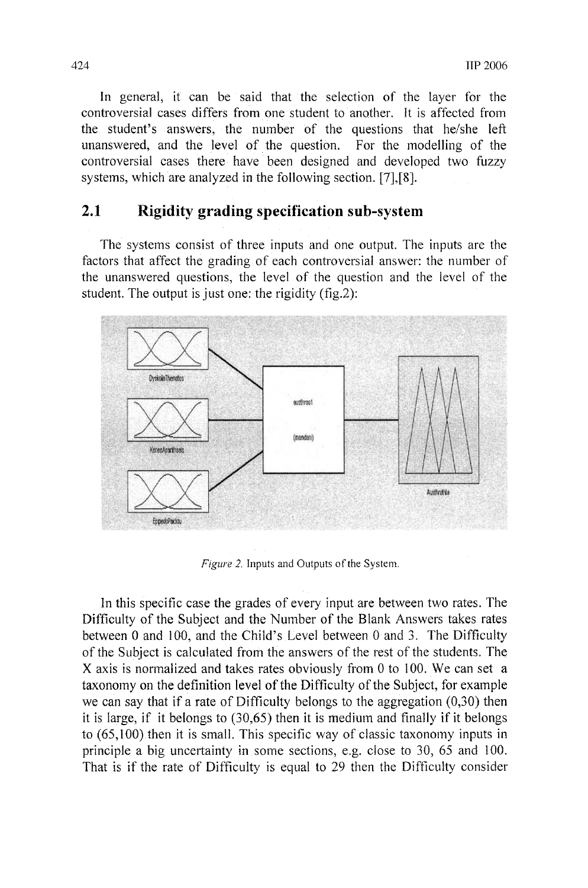In general, it can be said that the selection of the layer for the controversial cases differs from one student to another. It is affected from the student's answers, the number of the questions that he/she left unanswered, and the level of the question. For the modelling of the controversial cases there have been designed and developed two fuzzy systems, which are analyzed in the following section. [7],[8].

# 2.1 Rigidity grading specification sub-system

The systems consist of three inputs and one output. The inputs are the factors that affect the grading of each controversial answer: the number of the unanswered questions, the level of the question and the level of the student. The output is just one: the rigidity (fig.2):



*Figure 2.* Inputs and Outputs of the System.

In this specific case the grades of every input are between two rates. The Difficulty of the Subject and the Number of the Blank Answers takes rates between 0 and 100, and the Child's Level between 0 and 3. The Difficulty of the Subject is calculated from the answers of the rest of the students. The X axis is normalized and takes rates obviously from 0 to 100. We can set a taxonomy on the definition level of the Difficulty of the Subject, for example we can say that if a rate of Difficulty belongs to the aggregation (0,30) then it is large, if it belongs to (30,65) then it is medium and finally if it belongs to (65,100) then it is small. This specific way of classic taxonomy inputs in principle a big uncertainty in some sections, e.g. close to 30, 65 and 100. That is if the rate of Difficulty is equal to 29 then the Difficulty consider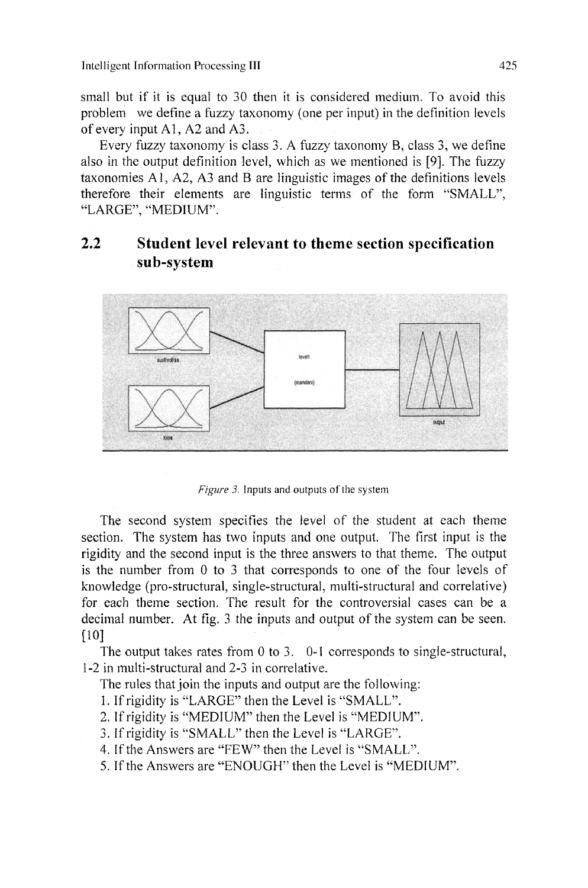small but if it is equal to 30 then it is considered medium. To avoid this problem we define a fuzzy taxonomy (one per input) in the definition levels of every input Al, A2 and A3.

Every fuzzy taxonomy is class 3. A fuzzy taxonomy B, class 3, we define also in the output definition level, which as we mentioned is [9]. The fuzzy taxonomies AI, A2, A3 and B are linguistic images of the definitions levels therefore their elements are linguistic terms of the form "SMALL", "LARGE", "MEDIUM".

# 2.2 Student level relevant to theme section specification sub-system



*Figure 3.* Inputs and outputs of the system

The second system specifies the level of the student at each theme section. The system has two inputs and one output. The first input is the rigidity and the second input is the three answers to that theme. The output is the number from 0 to 3 that corresponds to one of the four levels of knowledge (pro-structural, single-structural, multi-structural and correlative) for each theme section. The result for the controversial cases can be a decimal nurnber. At fig. 3 the inputs and output of the system can be seen. [10]

The output takes rates from 0 to 3. 0-1 corresponds to single-structural, 1-2 in multi-structural and 2-3 in correlative.

The rules that join the inputs and output are the following:

1. If rigidity is "LARGE" then the Level is "SMALL".

2. If rigidity is "MEDIUM" then the Level is "MEDIUM".

3. If rigidity is "SMALL" then the Level is "LARGE".

4. If the Answers are "FEW" then the Level is "SMALL".

5. If the Answers are "ENOUGH" then the Level is "MEDIUM".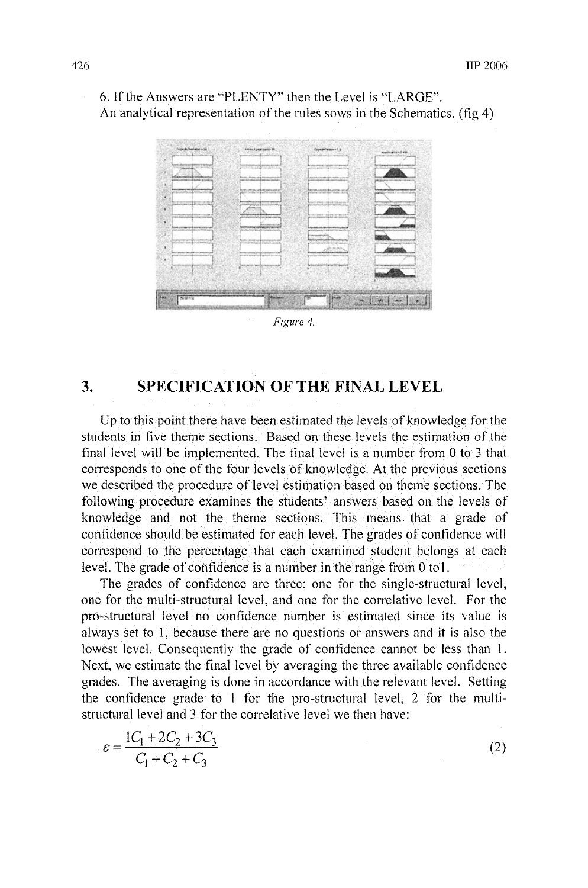6. If the Answers are "PLENTY" then the Level is "LARGE". An analytical representation of the rules sows in the Schematics, (fig 4)



*Figure 4* 

## 3. SPECIFICATION OF THE FINAL LEVEL

Up to this point there have been estimated the levels of knowledge for the students in five theme sections. Based on these levels the estimation of the final level will be implemented. The final level is a number from 0 to 3 that corresponds to one of the four levels of knowledge. At the previous sections we described the procedure of level estimation based on theme sections. The following procedure examines the students' answers based on the levels of knowledge and not the theme sections. This means that a grade of confidence should be estimated for each level. The grades of confidence will correspond to the percentage that each examined student belongs at each level. The grade of confidence is a number in the range from 0 tol.

The grades of confidence are three: one for the single-structural level, one for the muld-structural level, and one for the correlative level. For the pro-structural level no confidence number is estimated since its value is always set to 1, because there are no questions or answers and it is also the lowest level. Consequently the grade of confidence cannot be less than 1. Next, we estimate the final level by averaging the three available confidence grades. The averaging is done in accordance with the relevant level. Setting the confidence grade to 1 for the pro-structural level, 2 for the multistructural level and 3 for the correlative level we then have:

$$
\varepsilon = \frac{1C_1 + 2C_2 + 3C_3}{C_1 + C_2 + C_3} \tag{2}
$$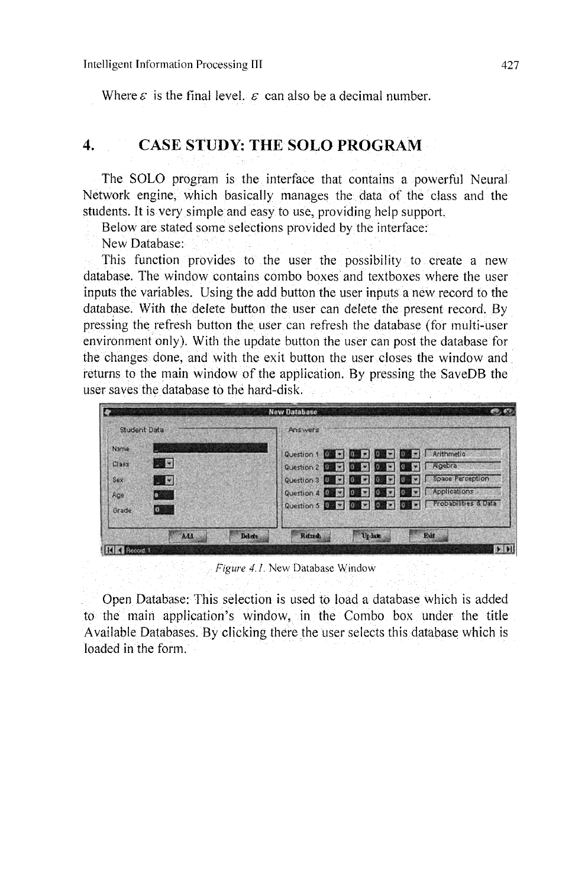Where  $\varepsilon$  is the final level,  $\varepsilon$  can also be a decimal number.

#### 4. CASE STUDY: THE SOLO PROGRAM

The SOLO program is the interface that contains a powerful Neural Network engine, which basically manages the data of the class and the students. It is very simple and easy to use, providing help support.

Below are stated some selections provided by the interface:

New Database:

This function provides to the user the possibility to create a new database. The window contains combo boxes and textboxes where the user inputs the variables. Using the add button the user inputs a new record to the database. With the delete button the user can delete the present record. By pressing the refresh button the user can refresh the database (for multi-user environment only). With the update button the user can post the database for the changes done, and with the exit button the user closes the window and returns to the main window of the application. By pressing the SaveDB the user saves the database to the hard-disk.



*figure 4 1* New Database Window

Open Database: This selection is used to load a database which is added to the main application's window, in the Combo box under the title Available Databases. By clicking there the user selects this database which is loaded in the form.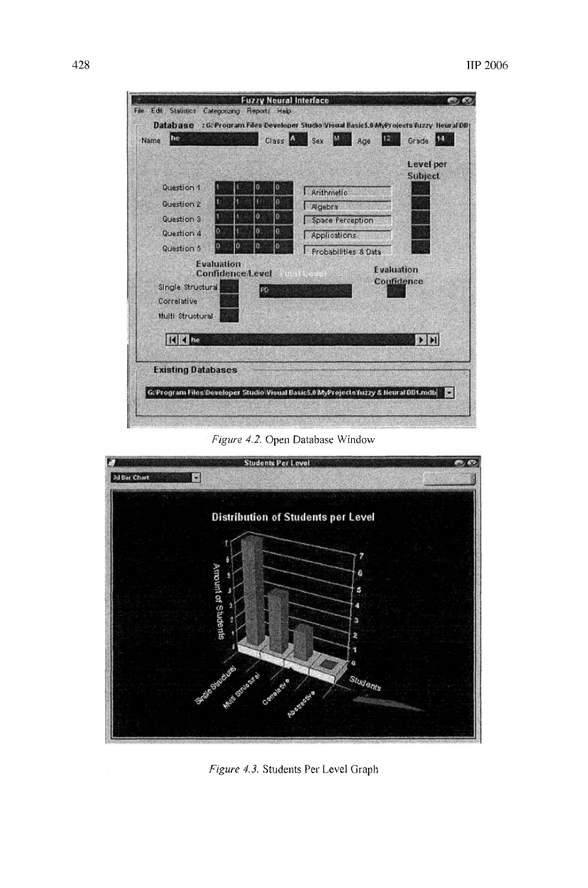| Level per<br><b>Subject</b> |
|-----------------------------|
|                             |
|                             |
|                             |
|                             |
|                             |
|                             |
| Evaluation                  |
|                             |
|                             |
|                             |
|                             |
|                             |
| Confidence                  |

*Figure 4.2.* Open Database Window



*Figure 4.3.* Students Per Level Graph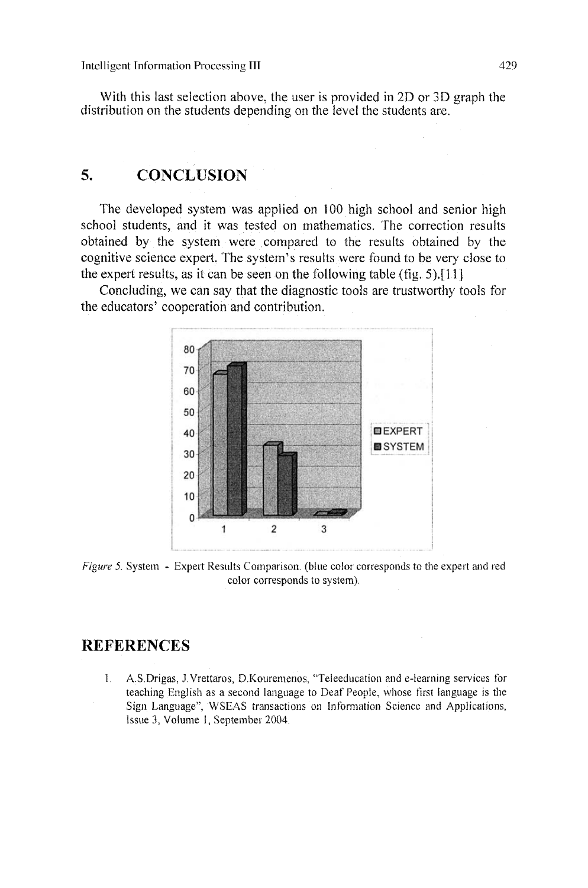With this last selection above, the user is provided in 2D or 3D graph the distribution on the students depending on the level the students are.

# 5. CONCLUSION

The developed system was applied on 100 high school and senior high school students, and it was tested on mathematics. The correction results obtained by the system were compared to the results obtained by the cognitive science expert. The system's results were found to be very close to the expert results, as it can be seen on the following table (fig. 5).[11]

Concluding, we can say that the diagnostic tools are trustworthy tools for the educators' cooperation and contribution.



*Figure 5.* System - Expert Results Comparison, (blue color corresponds to the expert and red color corresponds to system).

#### **REFERENCES**

1. A.S.Drigas, J.Vrettaros, D.Kouremenos, "Teleeducation and e-learning services for teaching English as a second language to Deaf People, whose first language is the Sign Language", WSEAS transactions on Information Science and Applications, Issue 3, Volume 1, September 2004.